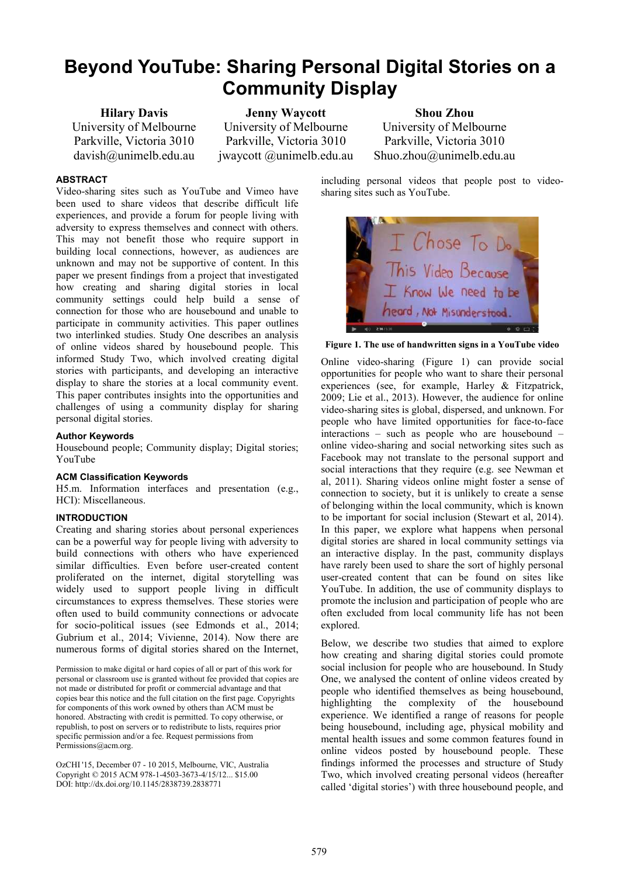# **Beyond YouTube: Sharing Personal Digital Stories on a Community Display**

**Hilary Davis**  University of Melbourne Parkville, Victoria 3010 davish@unimelb.edu.au

**Jenny Waycott**  University of Melbourne Parkville, Victoria 3010 jwaycott @unimelb.edu.au

**Shou Zhou** University of Melbourne Parkville, Victoria 3010 Shuo.zhou@unimelb.edu.au

# **ABSTRACT**

Video-sharing sites such as YouTube and Vimeo have been used to share videos that describe difficult life experiences, and provide a forum for people living with adversity to express themselves and connect with others. This may not benefit those who require support in building local connections, however, as audiences are unknown and may not be supportive of content. In this paper we present findings from a project that investigated how creating and sharing digital stories in local community settings could help build a sense of connection for those who are housebound and unable to participate in community activities. This paper outlines two interlinked studies. Study One describes an analysis of online videos shared by housebound people. This informed Study Two, which involved creating digital stories with participants, and developing an interactive display to share the stories at a local community event. This paper contributes insights into the opportunities and challenges of using a community display for sharing personal digital stories.

#### **Author Keywords**

Housebound people; Community display; Digital stories; YouTube

#### **ACM Classification Keywords**

H5.m. Information interfaces and presentation (e.g., HCI): Miscellaneous.

## **INTRODUCTION**

Creating and sharing stories about personal experiences can be a powerful way for people living with adversity to build connections with others who have experienced similar difficulties. Even before user-created content proliferated on the internet, digital storytelling was widely used to support people living in difficult circumstances to express themselves. These stories were often used to build community connections or advocate for socio-political issues (see Edmonds et al., 2014; Gubrium et al., 2014; Vivienne, 2014). Now there are numerous forms of digital stories shared on the Internet,

Permission to make digital or hard copies of all or part of this work for personal or classroom use is granted without fee provided that copies are not made or distributed for profit or commercial advantage and that copies bear this notice and the full citation on the first page. Copyrights for components of this work owned by others than ACM must be honored. Abstracting with credit is permitted. To copy otherwise, or republish, to post on servers or to redistribute to lists, requires prior specific permission and/or a fee. Request permissions from Permissions@acm.org.

OzCHI '15, December 07 - 10 2015, Melbourne, VIC, Australia Copyright © 2015 ACM 978-1-4503-3673-4/15/12... \$15.00 DOI: http://dx.doi.org/10.1145/2838739.2838771

including personal videos that people post to videosharing sites such as YouTube.



**Figure 1. The use of handwritten signs in a YouTube video** 

<span id="page-0-0"></span>Online video-sharing [\(Figure 1\)](#page-0-0) can provide social opportunities for people who want to share their personal experiences (see, for example, Harley & Fitzpatrick, 2009; Lie et al., 2013). However, the audience for online video-sharing sites is global, dispersed, and unknown. For people who have limited opportunities for face-to-face interactions – such as people who are housebound – online video-sharing and social networking sites such as Facebook may not translate to the personal support and social interactions that they require (e.g. see Newman et al, 2011). Sharing videos online might foster a sense of connection to society, but it is unlikely to create a sense of belonging within the local community, which is known to be important for social inclusion (Stewart et al, 2014). In this paper, we explore what happens when personal digital stories are shared in local community settings via an interactive display. In the past, community displays have rarely been used to share the sort of highly personal user-created content that can be found on sites like YouTube. In addition, the use of community displays to promote the inclusion and participation of people who are often excluded from local community life has not been explored.

Below, we describe two studies that aimed to explore how creating and sharing digital stories could promote social inclusion for people who are housebound. In Study One, we analysed the content of online videos created by people who identified themselves as being housebound, highlighting the complexity of the housebound experience. We identified a range of reasons for people being housebound, including age, physical mobility and mental health issues and some common features found in online videos posted by housebound people. These findings informed the processes and structure of Study Two, which involved creating personal videos (hereafter called 'digital stories') with three housebound people, and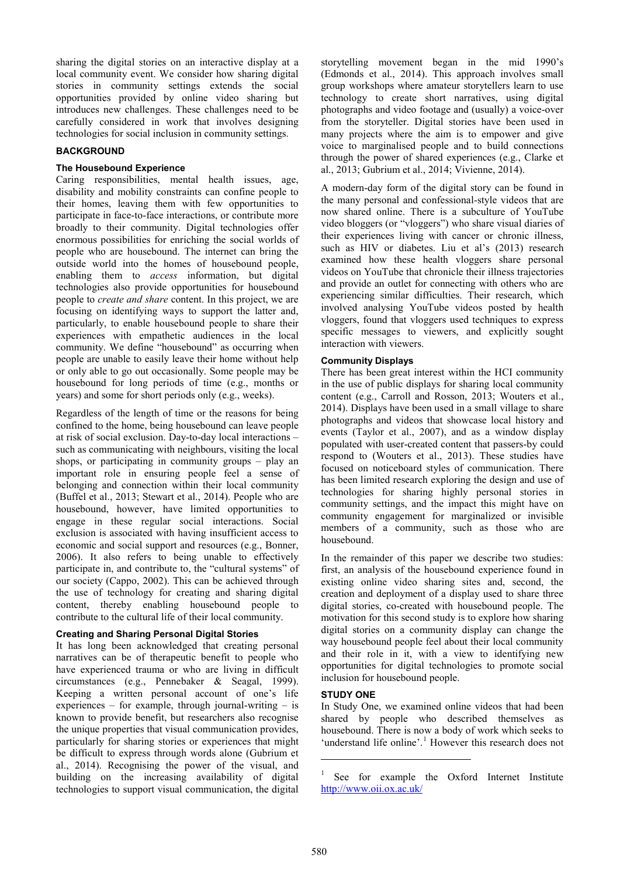sharing the digital stories on an interactive display at a local community event. We consider how sharing digital stories in community settings extends the social opportunities provided by online video sharing but introduces new challenges. These challenges need to be carefully considered in work that involves designing technologies for social inclusion in community settings.

# **BACKGROUND**

# **The Housebound Experience**

Caring responsibilities, mental health issues, age, disability and mobility constraints can confine people to their homes, leaving them with few opportunities to participate in face-to-face interactions, or contribute more broadly to their community. Digital technologies offer enormous possibilities for enriching the social worlds of people who are housebound. The internet can bring the outside world into the homes of housebound people, enabling them to *access* information, but digital technologies also provide opportunities for housebound people to *create and share* content. In this project, we are focusing on identifying ways to support the latter and, particularly, to enable housebound people to share their experiences with empathetic audiences in the local community. We define "housebound" as occurring when people are unable to easily leave their home without help or only able to go out occasionally. Some people may be housebound for long periods of time (e.g., months or years) and some for short periods only (e.g., weeks).

Regardless of the length of time or the reasons for being confined to the home, being housebound can leave people at risk of social exclusion. Day-to-day local interactions – such as communicating with neighbours, visiting the local shops, or participating in community groups – play an important role in ensuring people feel a sense of belonging and connection within their local community (Buffel et al., 2013; Stewart et al., 2014). People who are housebound, however, have limited opportunities to engage in these regular social interactions. Social exclusion is associated with having insufficient access to economic and social support and resources (e.g., Bonner, 2006). It also refers to being unable to effectively participate in, and contribute to, the "cultural systems" of our society (Cappo, 2002). This can be achieved through the use of technology for creating and sharing digital content, thereby enabling housebound people to contribute to the cultural life of their local community.

# **Creating and Sharing Personal Digital Stories**

<span id="page-1-0"></span>It has long been acknowledged that creating personal narratives can be of therapeutic benefit to people who have experienced trauma or who are living in difficult circumstances (e.g., Pennebaker & Seagal, 1999). Keeping a written personal account of one's life experiences – for example, through journal-writing – is known to provide benefit, but researchers also recognise the unique properties that visual communication provides, particularly for sharing stories or experiences that might be difficult to express through words alone (Gubrium et al., 2014). Recognising the power of the visual, and building on the increasing availability of digital technologies to support visual communication, the digital

storytelling movement began in the mid 1990's (Edmonds et al., 2014). This approach involves small group workshops where amateur storytellers learn to use technology to create short narratives, using digital photographs and video footage and (usually) a voice-over from the storyteller. Digital stories have been used in many projects where the aim is to empower and give voice to marginalised people and to build connections through the power of shared experiences (e.g., Clarke et al., 2013; Gubrium et al., 2014; Vivienne, 2014).

A modern-day form of the digital story can be found in the many personal and confessional-style videos that are now shared online. There is a subculture of YouTube video bloggers (or "vloggers") who share visual diaries of their experiences living with cancer or chronic illness, such as HIV or diabetes. Liu et al's (2013) research examined how these health vloggers share personal videos on YouTube that chronicle their illness trajectories and provide an outlet for connecting with others who are experiencing similar difficulties. Their research, which involved analysing YouTube videos posted by health vloggers, found that vloggers used techniques to express specific messages to viewers, and explicitly sought interaction with viewers.

## **Community Displays**

There has been great interest within the HCI community in the use of public displays for sharing local community content (e.g., Carroll and Rosson, 2013; Wouters et al., 2014). Displays have been used in a small village to share photographs and videos that showcase local history and events (Taylor et al., 2007), and as a window display populated with user-created content that passers-by could respond to (Wouters et al., 2013). These studies have focused on noticeboard styles of communication. There has been limited research exploring the design and use of technologies for sharing highly personal stories in community settings, and the impact this might have on community engagement for marginalized or invisible members of a community, such as those who are housebound.

In the remainder of this paper we describe two studies: first, an analysis of the housebound experience found in existing online video sharing sites and, second, the creation and deployment of a display used to share three digital stories, co-created with housebound people. The motivation for this second study is to explore how sharing digital stories on a community display can change the way housebound people feel about their local community and their role in it, with a view to identifying new opportunities for digital technologies to promote social inclusion for housebound people.

# **STUDY ONE**

In Study One, we examined online videos that had been shared by people who described themselves as housebound. There is now a body of work which seeks to 'understand life online'.<sup>[1](#page-1-0)</sup> However this research does not

-

<sup>1</sup> See for example the Oxford Internet Institute <http://www.oii.ox.ac.uk/>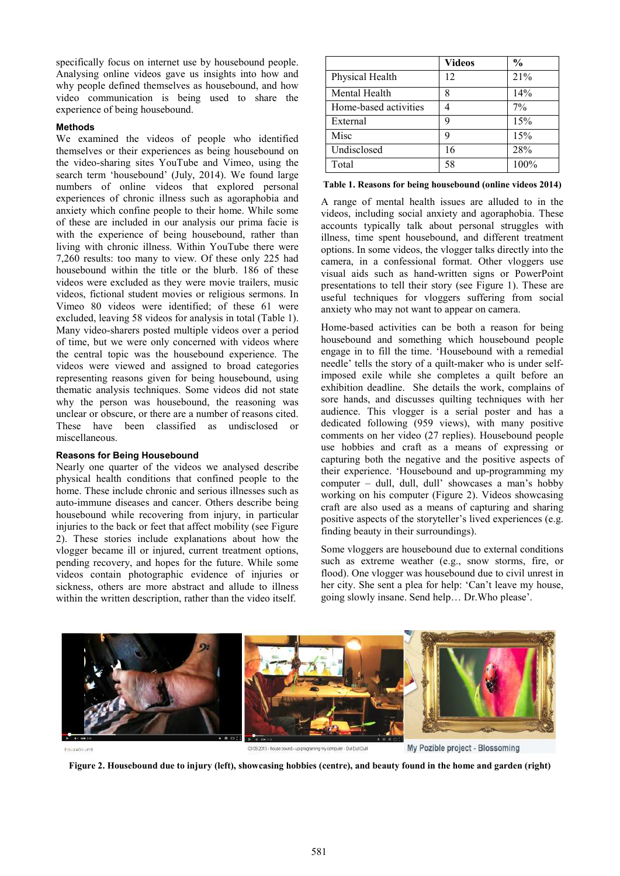specifically focus on internet use by housebound people. Analysing online videos gave us insights into how and why people defined themselves as housebound, and how video communication is being used to share the experience of being housebound.

#### **Methods**

We examined the videos of people who identified themselves or their experiences as being housebound on the video-sharing sites YouTube and Vimeo, using the search term 'housebound' (July, 2014). We found large numbers of online videos that explored personal experiences of chronic illness such as agoraphobia and anxiety which confine people to their home. While some of these are included in our analysis our prima facie is with the experience of being housebound, rather than living with chronic illness. Within YouTube there were 7,260 results: too many to view. Of these only 225 had housebound within the title or the blurb. 186 of these videos were excluded as they were movie trailers, music videos, fictional student movies or religious sermons. In Vimeo 80 videos were identified; of these 61 were excluded, leaving 58 videos for analysis in total (Table 1). Many video-sharers posted multiple videos over a period of time, but we were only concerned with videos where the central topic was the housebound experience. The videos were viewed and assigned to broad categories representing reasons given for being housebound, using thematic analysis techniques. Some videos did not state why the person was housebound, the reasoning was unclear or obscure, or there are a number of reasons cited. These have been classified as undisclosed or miscellaneous.

#### **Reasons for Being Housebound**

Nearly one quarter of the videos we analysed describe physical health conditions that confined people to the home. These include chronic and serious illnesses such as auto-immune diseases and cancer. Others describe being housebound while recovering from injury, in particular injuries to the back or feet that affect mobility (see Figure 2). These stories include explanations about how the vlogger became ill or injured, current treatment options, pending recovery, and hopes for the future. While some videos contain photographic evidence of injuries or sickness, others are more abstract and allude to illness within the written description, rather than the video itself.

|                       | <b>Videos</b> | $\frac{0}{0}$ |
|-----------------------|---------------|---------------|
| Physical Health       | 12            | 21%           |
| Mental Health         | 8             | 14%           |
| Home-based activities |               | $7\%$         |
| External              | g             | 15%           |
| Misc                  | q             | 15%           |
| Undisclosed           | 16            | 28%           |
| Total                 | 58            | 100%          |

**Table 1. Reasons for being housebound (online videos 2014)**

A range of mental health issues are alluded to in the videos, including social anxiety and agoraphobia. These accounts typically talk about personal struggles with illness, time spent housebound, and different treatment options. In some videos, the vlogger talks directly into the camera, in a confessional format. Other vloggers use visual aids such as hand-written signs or PowerPoint presentations to tell their story (see Figure 1). These are useful techniques for vloggers suffering from social anxiety who may not want to appear on camera.

Home-based activities can be both a reason for being housebound and something which housebound people engage in to fill the time. 'Housebound with a remedial needle' tells the story of a quilt-maker who is under selfimposed exile while she completes a quilt before an exhibition deadline. She details the work, complains of sore hands, and discusses quilting techniques with her audience. This vlogger is a serial poster and has a dedicated following (959 views), with many positive comments on her video (27 replies). Housebound people use hobbies and craft as a means of expressing or capturing both the negative and the positive aspects of their experience. 'Housebound and up-programming my computer – dull, dull, dull' showcases a man's hobby working on his computer [\(Figure 2\)](#page-2-0). Videos showcasing craft are also used as a means of capturing and sharing positive aspects of the storyteller's lived experiences (e.g. finding beauty in their surroundings).

Some vloggers are housebound due to external conditions such as extreme weather (e.g., snow storms, fire, or flood). One vlogger was housebound due to civil unrest in her city. She sent a plea for help: 'Can't leave my house, going slowly insane. Send help… Dr.Who please'.

<span id="page-2-0"></span>

**Figure 2. Housebound due to injury (left), showcasing hobbies (centre), and beauty found in the home and garden (right)**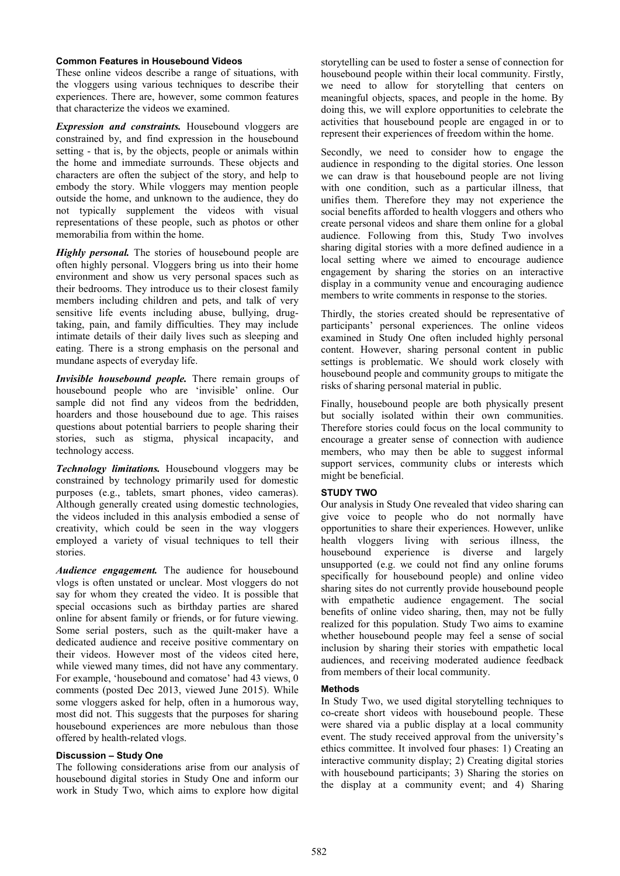## **Common Features in Housebound Videos**

These online videos describe a range of situations, with the vloggers using various techniques to describe their experiences. There are, however, some common features that characterize the videos we examined.

*Expression and constraints.* Housebound vloggers are constrained by, and find expression in the housebound setting - that is, by the objects, people or animals within the home and immediate surrounds. These objects and characters are often the subject of the story, and help to embody the story. While vloggers may mention people outside the home, and unknown to the audience, they do not typically supplement the videos with visual representations of these people, such as photos or other memorabilia from within the home.

*Highly personal.* The stories of housebound people are often highly personal. Vloggers bring us into their home environment and show us very personal spaces such as their bedrooms. They introduce us to their closest family members including children and pets, and talk of very sensitive life events including abuse, bullying, drugtaking, pain, and family difficulties. They may include intimate details of their daily lives such as sleeping and eating. There is a strong emphasis on the personal and mundane aspects of everyday life.

*Invisible housebound people.* There remain groups of housebound people who are 'invisible' online. Our sample did not find any videos from the bedridden, hoarders and those housebound due to age. This raises questions about potential barriers to people sharing their stories, such as stigma, physical incapacity, and technology access.

*Technology limitations.* Housebound vloggers may be constrained by technology primarily used for domestic purposes (e.g., tablets, smart phones, video cameras). Although generally created using domestic technologies, the videos included in this analysis embodied a sense of creativity, which could be seen in the way vloggers employed a variety of visual techniques to tell their stories.

*Audience engagement.* The audience for housebound vlogs is often unstated or unclear. Most vloggers do not say for whom they created the video. It is possible that special occasions such as birthday parties are shared online for absent family or friends, or for future viewing. Some serial posters, such as the quilt-maker have a dedicated audience and receive positive commentary on their videos. However most of the videos cited here, while viewed many times, did not have any commentary. For example, 'housebound and comatose' had 43 views, 0 comments (posted Dec 2013, viewed June 2015). While some vloggers asked for help, often in a humorous way, most did not. This suggests that the purposes for sharing housebound experiences are more nebulous than those offered by health-related vlogs.

## **Discussion – Study One**

The following considerations arise from our analysis of housebound digital stories in Study One and inform our work in Study Two, which aims to explore how digital storytelling can be used to foster a sense of connection for housebound people within their local community. Firstly, we need to allow for storytelling that centers on meaningful objects, spaces, and people in the home. By doing this, we will explore opportunities to celebrate the activities that housebound people are engaged in or to represent their experiences of freedom within the home.

Secondly, we need to consider how to engage the audience in responding to the digital stories. One lesson we can draw is that housebound people are not living with one condition, such as a particular illness, that unifies them. Therefore they may not experience the social benefits afforded to health vloggers and others who create personal videos and share them online for a global audience. Following from this, Study Two involves sharing digital stories with a more defined audience in a local setting where we aimed to encourage audience engagement by sharing the stories on an interactive display in a community venue and encouraging audience members to write comments in response to the stories.

Thirdly, the stories created should be representative of participants' personal experiences. The online videos examined in Study One often included highly personal content. However, sharing personal content in public settings is problematic. We should work closely with housebound people and community groups to mitigate the risks of sharing personal material in public.

Finally, housebound people are both physically present but socially isolated within their own communities. Therefore stories could focus on the local community to encourage a greater sense of connection with audience members, who may then be able to suggest informal support services, community clubs or interests which might be beneficial.

#### **STUDY TWO**

Our analysis in Study One revealed that video sharing can give voice to people who do not normally have opportunities to share their experiences. However, unlike health vloggers living with serious illness, the housebound experience is diverse and largely unsupported (e.g. we could not find any online forums specifically for housebound people) and online video sharing sites do not currently provide housebound people with empathetic audience engagement. The social benefits of online video sharing, then, may not be fully realized for this population. Study Two aims to examine whether housebound people may feel a sense of social inclusion by sharing their stories with empathetic local audiences, and receiving moderated audience feedback from members of their local community.

#### **Methods**

In Study Two, we used digital storytelling techniques to co-create short videos with housebound people. These were shared via a public display at a local community event. The study received approval from the university's ethics committee. It involved four phases: 1) Creating an interactive community display; 2) Creating digital stories with housebound participants; 3) Sharing the stories on the display at a community event; and 4) Sharing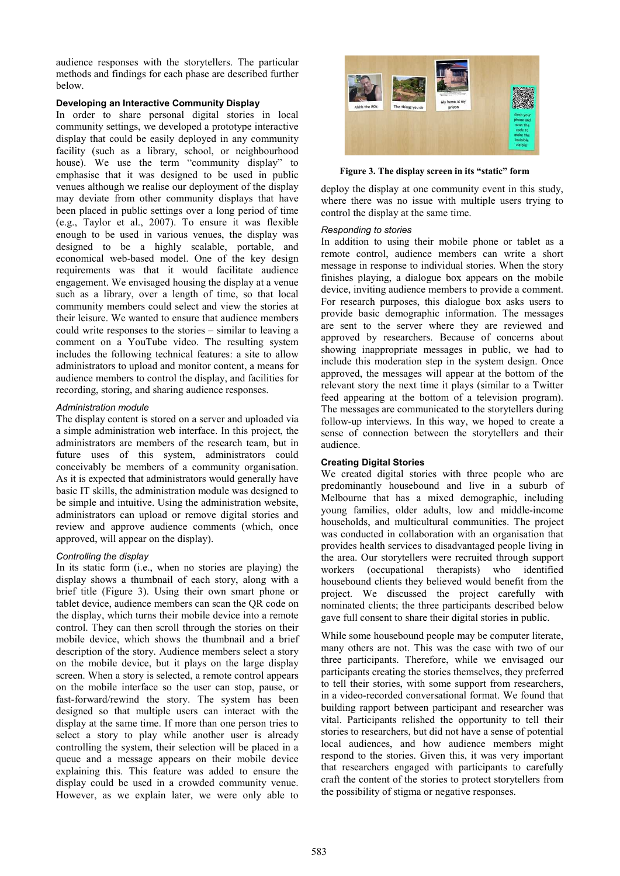audience responses with the storytellers. The particular methods and findings for each phase are described further below.

## **Developing an Interactive Community Display**

In order to share personal digital stories in local community settings, we developed a prototype interactive display that could be easily deployed in any community facility (such as a library, school, or neighbourhood house). We use the term "community display" to emphasise that it was designed to be used in public venues although we realise our deployment of the display may deviate from other community displays that have been placed in public settings over a long period of time (e.g., Taylor et al., 2007). To ensure it was flexible enough to be used in various venues, the display was designed to be a highly scalable, portable, and economical web-based model. One of the key design requirements was that it would facilitate audience engagement. We envisaged housing the display at a venue such as a library, over a length of time, so that local community members could select and view the stories at their leisure. We wanted to ensure that audience members could write responses to the stories – similar to leaving a comment on a YouTube video. The resulting system includes the following technical features: a site to allow administrators to upload and monitor content, a means for audience members to control the display, and facilities for recording, storing, and sharing audience responses.

# *Administration module*

The display content is stored on a server and uploaded via a simple administration web interface. In this project, the administrators are members of the research team, but in future uses of this system, administrators could conceivably be members of a community organisation. As it is expected that administrators would generally have basic IT skills, the administration module was designed to be simple and intuitive. Using the administration website, administrators can upload or remove digital stories and review and approve audience comments (which, once approved, will appear on the display).

# *Controlling the display*

In its static form (i.e., when no stories are playing) the display shows a thumbnail of each story, along with a brief title (Figure 3). Using their own smart phone or tablet device, audience members can scan the QR code on the display, which turns their mobile device into a remote control. They can then scroll through the stories on their mobile device, which shows the thumbnail and a brief description of the story. Audience members select a story on the mobile device, but it plays on the large display screen. When a story is selected, a remote control appears on the mobile interface so the user can stop, pause, or fast-forward/rewind the story. The system has been designed so that multiple users can interact with the display at the same time. If more than one person tries to select a story to play while another user is already controlling the system, their selection will be placed in a queue and a message appears on their mobile device explaining this. This feature was added to ensure the display could be used in a crowded community venue. However, as we explain later, we were only able to



**Figure 3. The display screen in its "static" form**

deploy the display at one community event in this study, where there was no issue with multiple users trying to control the display at the same time.

## *Responding to stories*

In addition to using their mobile phone or tablet as a remote control, audience members can write a short message in response to individual stories. When the story finishes playing, a dialogue box appears on the mobile device, inviting audience members to provide a comment. For research purposes, this dialogue box asks users to provide basic demographic information. The messages are sent to the server where they are reviewed and approved by researchers. Because of concerns about showing inappropriate messages in public, we had to include this moderation step in the system design. Once approved, the messages will appear at the bottom of the relevant story the next time it plays (similar to a Twitter feed appearing at the bottom of a television program). The messages are communicated to the storytellers during follow-up interviews. In this way, we hoped to create a sense of connection between the storytellers and their audience.

# **Creating Digital Stories**

We created digital stories with three people who are predominantly housebound and live in a suburb of Melbourne that has a mixed demographic, including young families, older adults, low and middle-income households, and multicultural communities. The project was conducted in collaboration with an organisation that provides health services to disadvantaged people living in the area. Our storytellers were recruited through support workers (occupational therapists) who identified housebound clients they believed would benefit from the project. We discussed the project carefully with nominated clients; the three participants described below gave full consent to share their digital stories in public.

While some housebound people may be computer literate, many others are not. This was the case with two of our three participants. Therefore, while we envisaged our participants creating the stories themselves, they preferred to tell their stories, with some support from researchers, in a video-recorded conversational format. We found that building rapport between participant and researcher was vital. Participants relished the opportunity to tell their stories to researchers, but did not have a sense of potential local audiences, and how audience members might respond to the stories. Given this, it was very important that researchers engaged with participants to carefully craft the content of the stories to protect storytellers from the possibility of stigma or negative responses.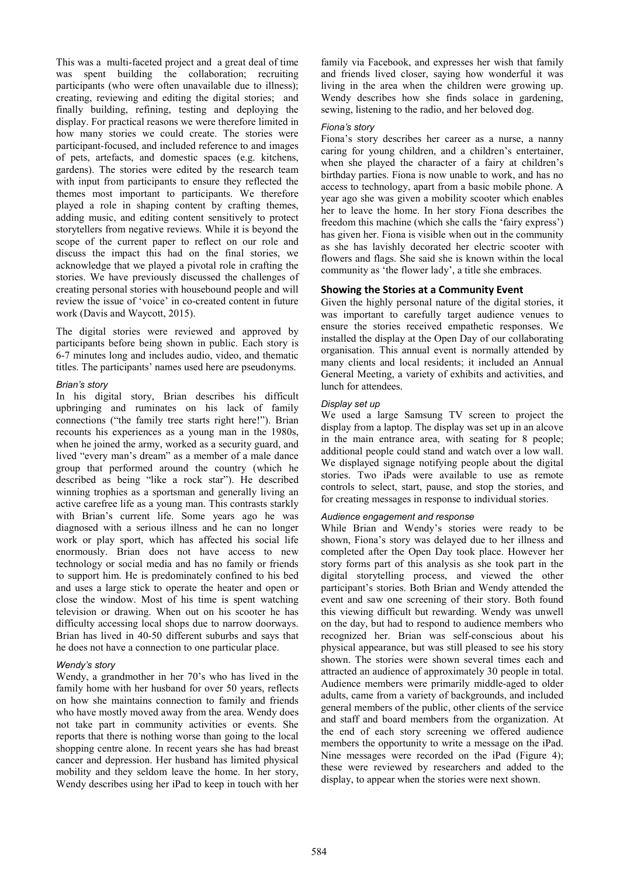This was a multi-faceted project and a great deal of time was spent building the collaboration; recruiting participants (who were often unavailable due to illness); creating, reviewing and editing the digital stories; and finally building, refining, testing and deploying the display. For practical reasons we were therefore limited in how many stories we could create. The stories were participant-focused, and included reference to and images of pets, artefacts, and domestic spaces (e.g. kitchens, gardens). The stories were edited by the research team with input from participants to ensure they reflected the themes most important to participants. We therefore played a role in shaping content by crafting themes, adding music, and editing content sensitively to protect storytellers from negative reviews. While it is beyond the scope of the current paper to reflect on our role and discuss the impact this had on the final stories, we acknowledge that we played a pivotal role in crafting the stories. We have previously discussed the challenges of creating personal stories with housebound people and will review the issue of 'voice' in co-created content in future work (Davis and Waycott, 2015).

The digital stories were reviewed and approved by participants before being shown in public. Each story is 6-7 minutes long and includes audio, video, and thematic titles. The participants' names used here are pseudonyms.

## *Brian's story*

In his digital story, Brian describes his difficult upbringing and ruminates on his lack of family connections ("the family tree starts right here!"). Brian recounts his experiences as a young man in the 1980s, when he joined the army, worked as a security guard, and lived "every man's dream" as a member of a male dance group that performed around the country (which he described as being "like a rock star"). He described winning trophies as a sportsman and generally living an active carefree life as a young man. This contrasts starkly with Brian's current life. Some years ago he was diagnosed with a serious illness and he can no longer work or play sport, which has affected his social life enormously. Brian does not have access to new technology or social media and has no family or friends to support him. He is predominately confined to his bed and uses a large stick to operate the heater and open or close the window. Most of his time is spent watching television or drawing. When out on his scooter he has difficulty accessing local shops due to narrow doorways. Brian has lived in 40-50 different suburbs and says that he does not have a connection to one particular place.

#### *Wendy's story*

Wendy, a grandmother in her 70's who has lived in the family home with her husband for over 50 years, reflects on how she maintains connection to family and friends who have mostly moved away from the area. Wendy does not take part in community activities or events. She reports that there is nothing worse than going to the local shopping centre alone. In recent years she has had breast cancer and depression. Her husband has limited physical mobility and they seldom leave the home. In her story, Wendy describes using her iPad to keep in touch with her family via Facebook, and expresses her wish that family and friends lived closer, saying how wonderful it was living in the area when the children were growing up. Wendy describes how she finds solace in gardening, sewing, listening to the radio, and her beloved dog.

# *Fiona's story*

Fiona's story describes her career as a nurse, a nanny caring for young children, and a children's entertainer, when she played the character of a fairy at children's birthday parties. Fiona is now unable to work, and has no access to technology, apart from a basic mobile phone. A year ago she was given a mobility scooter which enables her to leave the home. In her story Fiona describes the freedom this machine (which she calls the 'fairy express') has given her. Fiona is visible when out in the community as she has lavishly decorated her electric scooter with flowers and flags. She said she is known within the local community as 'the flower lady', a title she embraces.

# **Showing the Stories at a Community Event**

Given the highly personal nature of the digital stories, it was important to carefully target audience venues to ensure the stories received empathetic responses. We installed the display at the Open Day of our collaborating organisation. This annual event is normally attended by many clients and local residents; it included an Annual General Meeting, a variety of exhibits and activities, and lunch for attendees.

## *Display set up*

We used a large Samsung TV screen to project the display from a laptop. The display was set up in an alcove in the main entrance area, with seating for 8 people; additional people could stand and watch over a low wall. We displayed signage notifying people about the digital stories. Two iPads were available to use as remote controls to select, start, pause, and stop the stories, and for creating messages in response to individual stories.

#### *Audience engagement and response*

While Brian and Wendy's stories were ready to be shown, Fiona's story was delayed due to her illness and completed after the Open Day took place. However her story forms part of this analysis as she took part in the digital storytelling process, and viewed the other participant's stories. Both Brian and Wendy attended the event and saw one screening of their story. Both found this viewing difficult but rewarding. Wendy was unwell on the day, but had to respond to audience members who recognized her. Brian was self-conscious about his physical appearance, but was still pleased to see his story shown. The stories were shown several times each and attracted an audience of approximately 30 people in total. Audience members were primarily middle-aged to older adults, came from a variety of backgrounds, and included general members of the public, other clients of the service and staff and board members from the organization. At the end of each story screening we offered audience members the opportunity to write a message on the iPad. Nine messages were recorded on the iPad [\(Figure 4\)](#page-6-0); these were reviewed by researchers and added to the display, to appear when the stories were next shown.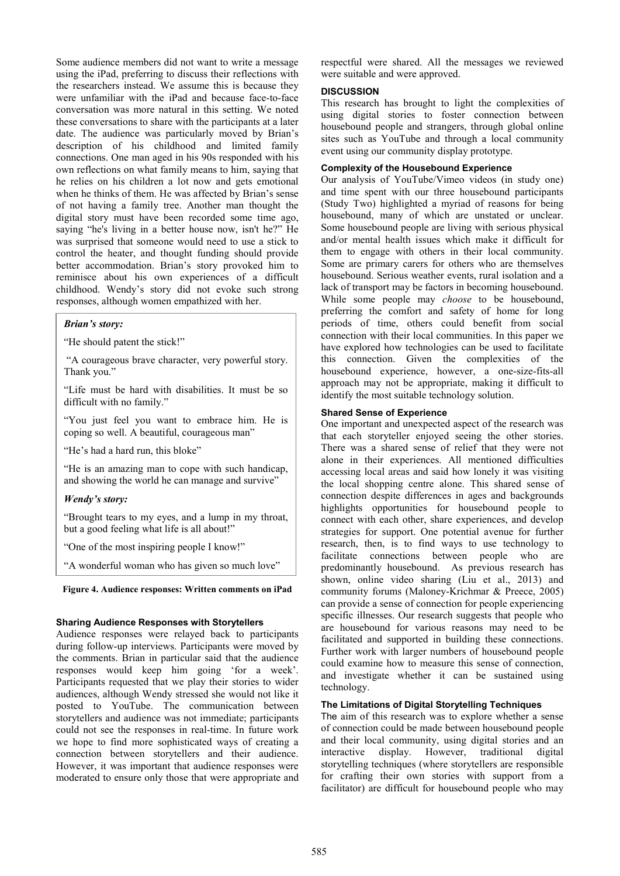Some audience members did not want to write a message using the iPad, preferring to discuss their reflections with the researchers instead. We assume this is because they were unfamiliar with the iPad and because face-to-face conversation was more natural in this setting. We noted these conversations to share with the participants at a later date. The audience was particularly moved by Brian's description of his childhood and limited family connections. One man aged in his 90s responded with his own reflections on what family means to him, saying that he relies on his children a lot now and gets emotional when he thinks of them. He was affected by Brian's sense of not having a family tree. Another man thought the digital story must have been recorded some time ago, saying "he's living in a better house now, isn't he?" He was surprised that someone would need to use a stick to control the heater, and thought funding should provide better accommodation. Brian's story provoked him to reminisce about his own experiences of a difficult childhood. Wendy's story did not evoke such strong responses, although women empathized with her.

## *Brian's story:*

"He should patent the stick!"

"A courageous brave character, very powerful story. Thank you."

"Life must be hard with disabilities. It must be so difficult with no family."

"You just feel you want to embrace him. He is coping so well. A beautiful, courageous man"

"He's had a hard run, this bloke"

"He is an amazing man to cope with such handicap, and showing the world he can manage and survive"

#### *Wendy's story:*

"Brought tears to my eyes, and a lump in my throat, but a good feeling what life is all about!"

"One of the most inspiring people I know!"

"A wonderful woman who has given so much love"

<span id="page-6-0"></span>**Figure 4. Audience responses: Written comments on iPad**

## **Sharing Audience Responses with Storytellers**

Audience responses were relayed back to participants during follow-up interviews. Participants were moved by the comments. Brian in particular said that the audience responses would keep him going 'for a week'. Participants requested that we play their stories to wider audiences, although Wendy stressed she would not like it posted to YouTube. The communication between storytellers and audience was not immediate; participants could not see the responses in real-time. In future work we hope to find more sophisticated ways of creating a connection between storytellers and their audience. However, it was important that audience responses were moderated to ensure only those that were appropriate and

respectful were shared. All the messages we reviewed were suitable and were approved.

# **DISCUSSION**

This research has brought to light the complexities of using digital stories to foster connection between housebound people and strangers, through global online sites such as YouTube and through a local community event using our community display prototype.

# **Complexity of the Housebound Experience**

Our analysis of YouTube/Vimeo videos (in study one) and time spent with our three housebound participants (Study Two) highlighted a myriad of reasons for being housebound, many of which are unstated or unclear. Some housebound people are living with serious physical and/or mental health issues which make it difficult for them to engage with others in their local community. Some are primary carers for others who are themselves housebound. Serious weather events, rural isolation and a lack of transport may be factors in becoming housebound. While some people may *choose* to be housebound, preferring the comfort and safety of home for long periods of time, others could benefit from social connection with their local communities. In this paper we have explored how technologies can be used to facilitate this connection. Given the complexities of the housebound experience, however, a one-size-fits-all approach may not be appropriate, making it difficult to identify the most suitable technology solution.

## **Shared Sense of Experience**

One important and unexpected aspect of the research was that each storyteller enjoyed seeing the other stories. There was a shared sense of relief that they were not alone in their experiences. All mentioned difficulties accessing local areas and said how lonely it was visiting the local shopping centre alone. This shared sense of connection despite differences in ages and backgrounds highlights opportunities for housebound people to connect with each other, share experiences, and develop strategies for support. One potential avenue for further research, then, is to find ways to use technology to facilitate connections between people who are predominantly housebound. As previous research has shown, online video sharing (Liu et al., 2013) and community forums (Maloney-Krichmar & Preece, 2005) can provide a sense of connection for people experiencing specific illnesses. Our research suggests that people who are housebound for various reasons may need to be facilitated and supported in building these connections. Further work with larger numbers of housebound people could examine how to measure this sense of connection, and investigate whether it can be sustained using technology.

# **The Limitations of Digital Storytelling Techniques**

The aim of this research was to explore whether a sense of connection could be made between housebound people and their local community, using digital stories and an interactive display. However, traditional digital storytelling techniques (where storytellers are responsible for crafting their own stories with support from a facilitator) are difficult for housebound people who may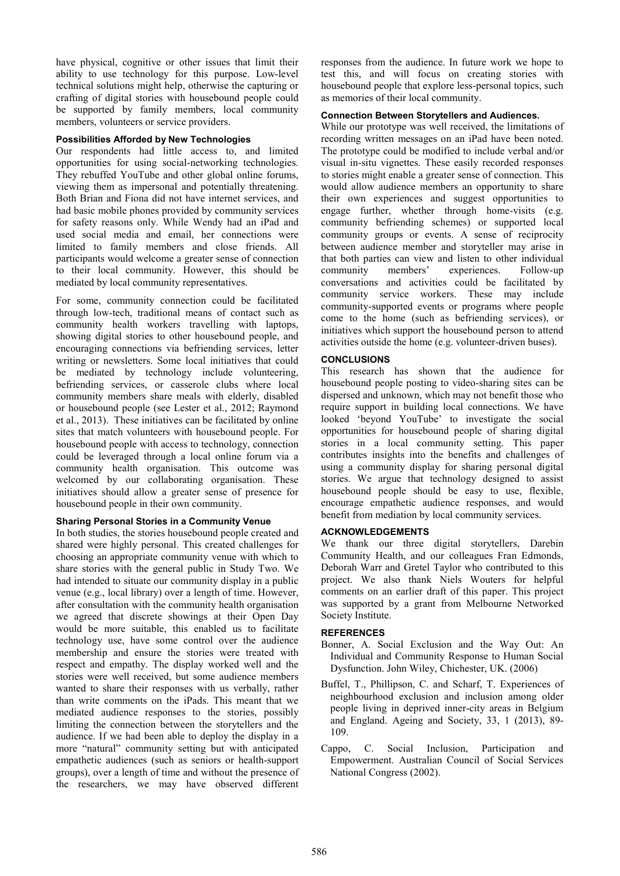have physical, cognitive or other issues that limit their ability to use technology for this purpose. Low-level technical solutions might help, otherwise the capturing or crafting of digital stories with housebound people could be supported by family members, local community members, volunteers or service providers.

## **Possibilities Afforded by New Technologies**

Our respondents had little access to, and limited opportunities for using social-networking technologies. They rebuffed YouTube and other global online forums, viewing them as impersonal and potentially threatening. Both Brian and Fiona did not have internet services, and had basic mobile phones provided by community services for safety reasons only. While Wendy had an iPad and used social media and email, her connections were limited to family members and close friends. All participants would welcome a greater sense of connection to their local community. However, this should be mediated by local community representatives.

For some, community connection could be facilitated through low-tech, traditional means of contact such as community health workers travelling with laptops, showing digital stories to other housebound people, and encouraging connections via befriending services, letter writing or newsletters. Some local initiatives that could be mediated by technology include volunteering, befriending services, or casserole clubs where local community members share meals with elderly, disabled or housebound people (see Lester et al., 2012; Raymond et al., 2013). These initiatives can be facilitated by online sites that match volunteers with housebound people. For housebound people with access to technology, connection could be leveraged through a local online forum via a community health organisation. This outcome was welcomed by our collaborating organisation. These initiatives should allow a greater sense of presence for housebound people in their own community.

# **Sharing Personal Stories in a Community Venue**

In both studies, the stories housebound people created and shared were highly personal. This created challenges for choosing an appropriate community venue with which to share stories with the general public in Study Two. We had intended to situate our community display in a public venue (e.g., local library) over a length of time. However, after consultation with the community health organisation we agreed that discrete showings at their Open Day would be more suitable, this enabled us to facilitate technology use, have some control over the audience membership and ensure the stories were treated with respect and empathy. The display worked well and the stories were well received, but some audience members wanted to share their responses with us verbally, rather than write comments on the iPads. This meant that we mediated audience responses to the stories, possibly limiting the connection between the storytellers and the audience. If we had been able to deploy the display in a more "natural" community setting but with anticipated empathetic audiences (such as seniors or health-support groups), over a length of time and without the presence of the researchers, we may have observed different

responses from the audience. In future work we hope to test this, and will focus on creating stories with housebound people that explore less-personal topics, such as memories of their local community.

## **Connection Between Storytellers and Audiences.**

While our prototype was well received, the limitations of recording written messages on an iPad have been noted. The prototype could be modified to include verbal and/or visual in-situ vignettes. These easily recorded responses to stories might enable a greater sense of connection. This would allow audience members an opportunity to share their own experiences and suggest opportunities to engage further, whether through home-visits (e.g. community befriending schemes) or supported local community groups or events. A sense of reciprocity between audience member and storyteller may arise in that both parties can view and listen to other individual community members' experiences. Follow-up conversations and activities could be facilitated by community service workers. These may include community-supported events or programs where people come to the home (such as befriending services), or initiatives which support the housebound person to attend activities outside the home (e.g. volunteer-driven buses).

# **CONCLUSIONS**

This research has shown that the audience for housebound people posting to video-sharing sites can be dispersed and unknown, which may not benefit those who require support in building local connections. We have looked 'beyond YouTube' to investigate the social opportunities for housebound people of sharing digital stories in a local community setting. This paper contributes insights into the benefits and challenges of using a community display for sharing personal digital stories. We argue that technology designed to assist housebound people should be easy to use, flexible, encourage empathetic audience responses, and would benefit from mediation by local community services.

# **ACKNOWLEDGEMENTS**

We thank our three digital storytellers, Darebin Community Health, and our colleagues Fran Edmonds, Deborah Warr and Gretel Taylor who contributed to this project. We also thank Niels Wouters for helpful comments on an earlier draft of this paper. This project was supported by a grant from Melbourne Networked Society Institute.

#### **REFERENCES**

- Bonner, A. Social Exclusion and the Way Out: An Individual and Community Response to Human Social Dysfunction. John Wiley, Chichester, UK. (2006)
- Buffel, T., Phillipson, C. and Scharf, T. Experiences of neighbourhood exclusion and inclusion among older people living in deprived inner-city areas in Belgium and England. Ageing and Society, 33, 1 (2013), 89- 109.
- Cappo, C. Social Inclusion, Participation and Empowerment. Australian Council of Social Services National Congress (2002).